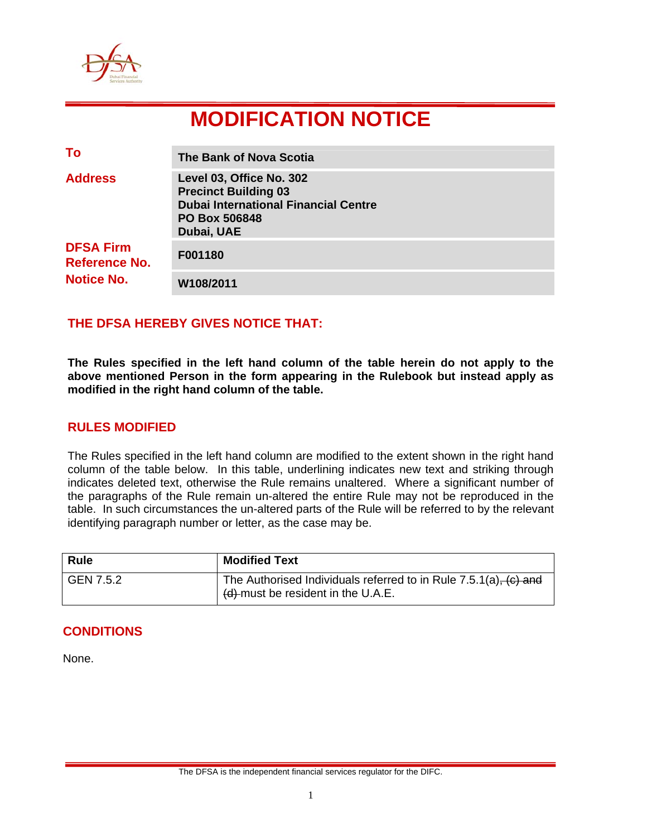

# **MODIFICATION NOTICE**

| To                                                            | The Bank of Nova Scotia                                                                                                                      |
|---------------------------------------------------------------|----------------------------------------------------------------------------------------------------------------------------------------------|
| <b>Address</b>                                                | Level 03, Office No. 302<br><b>Precinct Building 03</b><br><b>Dubai International Financial Centre</b><br><b>PO Box 506848</b><br>Dubai, UAE |
| <b>DFSA Firm</b><br><b>Reference No.</b><br><b>Notice No.</b> | F001180                                                                                                                                      |
|                                                               | W108/2011                                                                                                                                    |

## **THE DFSA HEREBY GIVES NOTICE THAT:**

**The Rules specified in the left hand column of the table herein do not apply to the above mentioned Person in the form appearing in the Rulebook but instead apply as modified in the right hand column of the table.** 

## **RULES MODIFIED**

The Rules specified in the left hand column are modified to the extent shown in the right hand column of the table below. In this table, underlining indicates new text and striking through indicates deleted text, otherwise the Rule remains unaltered. Where a significant number of the paragraphs of the Rule remain un-altered the entire Rule may not be reproduced in the table. In such circumstances the un-altered parts of the Rule will be referred to by the relevant identifying paragraph number or letter, as the case may be.

| <b>Rule</b> | <b>Modified Text</b>                                                                                        |
|-------------|-------------------------------------------------------------------------------------------------------------|
| GEN 7.5.2   | The Authorised Individuals referred to in Rule $7.5.1(a)$ , $(c)$ and<br>(d) must be resident in the U.A.E. |

#### **CONDITIONS**

None.